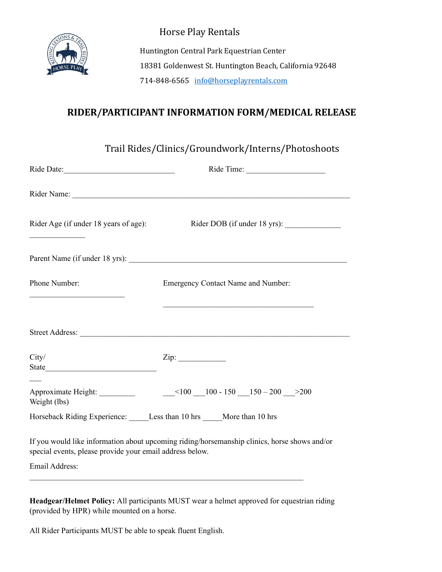

Horse Play Rentals

Huntington Central Park Equestrian Center 18381 Goldenwest St. Huntington Beach, California 92648 714-848-6565 info@horseplayrentals.com

# **RIDER/PARTICIPANT INFORMATION FORM/MEDICAL RELEASE**

| Trail Rides/Clinics/Groundwork/Interns/Photoshoots                                                                                                       |  |  |  |  |
|----------------------------------------------------------------------------------------------------------------------------------------------------------|--|--|--|--|
|                                                                                                                                                          |  |  |  |  |
|                                                                                                                                                          |  |  |  |  |
| Rider Age (if under 18 years of age):<br>Rider DOB (if under 18 yrs):                                                                                    |  |  |  |  |
|                                                                                                                                                          |  |  |  |  |
| Emergency Contact Name and Number:                                                                                                                       |  |  |  |  |
| <u> 2000 - Jan James James Barbara, martxa a shekara 1980 - Andrew Samuel a Shekara 1980 - Andrew Samuel a Shekara</u>                                   |  |  |  |  |
|                                                                                                                                                          |  |  |  |  |
|                                                                                                                                                          |  |  |  |  |
| Horseback Riding Experience: Less than 10 hrs ____More than 10 hrs                                                                                       |  |  |  |  |
| If you would like information about upcoming riding/horsemanship clinics, horse shows and/or<br>special events, please provide your email address below. |  |  |  |  |
|                                                                                                                                                          |  |  |  |  |
|                                                                                                                                                          |  |  |  |  |

**Headgear/Helmet Policy:** All participants MUST wear a helmet approved for equestrian riding (provided by HPR) while mounted on a horse.

All Rider Participants MUST be able to speak fluent English.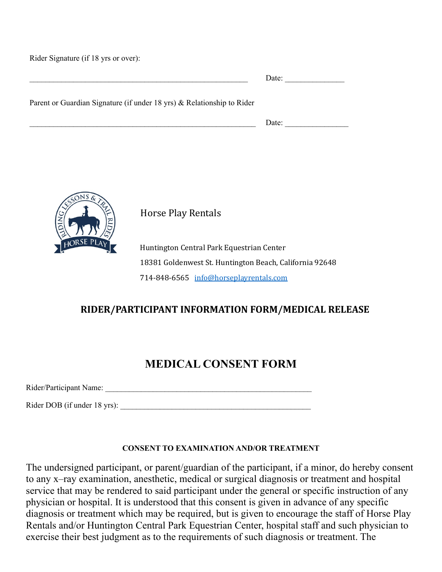Rider Signature (if 18 yrs or over):

|                                                                        | Date: |
|------------------------------------------------------------------------|-------|
| Parent or Guardian Signature (if under 18 yrs) & Relationship to Rider |       |
|                                                                        | Date: |



Horse Play Rentals

Huntington Central Park Equestrian Center 18381 Goldenwest St. Huntington Beach, California 92648 714-848-6565 info@horseplayrentals.com

### **RIDER/PARTICIPANT INFORMATION FORM/MEDICAL RELEASE**

## **MEDICAL CONSENT FORM**

Rider/Participant Name: \_\_\_\_\_\_\_\_\_\_\_\_\_\_\_\_\_\_\_\_\_\_\_\_\_\_\_\_\_\_\_\_\_\_\_\_\_\_\_\_\_\_\_\_\_\_\_\_\_\_\_\_

Rider DOB (if under 18 yrs):

### **CONSENT TO EXAMINATION AND/OR TREATMENT**

The undersigned participant, or parent/guardian of the participant, if a minor, do hereby consent to any x–ray examination, anesthetic, medical or surgical diagnosis or treatment and hospital service that may be rendered to said participant under the general or specific instruction of any physician or hospital. It is understood that this consent is given in advance of any specific diagnosis or treatment which may be required, but is given to encourage the staff of Horse Play Rentals and/or Huntington Central Park Equestrian Center, hospital staff and such physician to exercise their best judgment as to the requirements of such diagnosis or treatment. The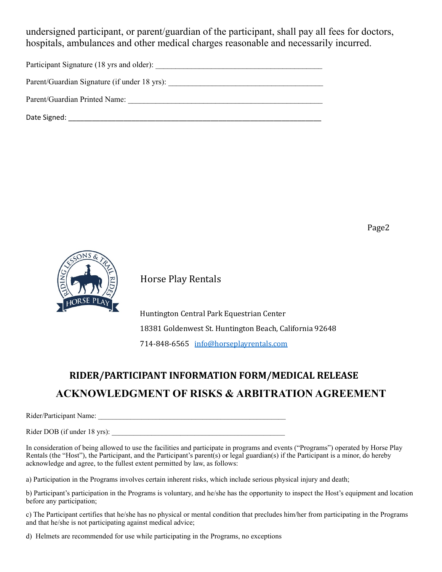undersigned participant, or parent/guardian of the participant, shall pay all fees for doctors, hospitals, ambulances and other medical charges reasonable and necessarily incurred.

Participant Signature (18 yrs and older):

Parent/Guardian Signature (if under 18 yrs): \_\_\_\_\_\_\_\_\_\_\_\_\_\_\_\_\_\_\_\_\_\_\_\_\_\_\_\_\_\_\_\_\_\_\_

Parent/Guardian Printed Name: \_\_\_\_\_\_\_\_\_\_\_\_\_\_\_\_\_\_\_\_\_\_\_\_\_\_\_\_\_\_\_\_\_\_\_\_\_\_\_\_\_\_\_\_\_\_\_\_\_

Date Signed: \_\_\_\_\_\_\_\_\_\_\_\_\_\_\_\_\_\_\_\_\_\_\_\_\_\_\_\_\_\_\_\_\_\_\_\_\_\_\_\_\_\_\_\_\_\_\_\_\_\_\_\_\_\_\_\_\_\_\_\_\_\_\_\_

Page2



Horse Play Rentals

 Huntington Central Park Equestrian Center 18381 Goldenwest St. Huntington Beach, California 92648 714-848-6565 info@horseplayrentals.com

# **RIDER/PARTICIPANT INFORMATION FORM/MEDICAL RELEASE ACKNOWLEDGMENT OF RISKS & ARBITRATION AGREEMENT**

Rider/Participant Name: \_\_\_\_\_\_\_\_\_\_\_\_\_\_\_\_\_\_\_\_\_\_\_\_\_\_\_\_\_\_\_\_\_\_\_\_\_\_\_\_\_\_\_\_\_\_\_\_\_\_\_\_

Rider DOB (if under 18 yrs):

In consideration of being allowed to use the facilities and participate in programs and events ("Programs") operated by Horse Play Rentals (the "Host"), the Participant, and the Participant's parent(s) or legal guardian(s) if the Participant is a minor, do hereby acknowledge and agree, to the fullest extent permitted by law, as follows:

a) Participation in the Programs involves certain inherent risks, which include serious physical injury and death;

b) Participant's participation in the Programs is voluntary, and he/she has the opportunity to inspect the Host's equipment and location before any participation;

c) The Participant certifies that he/she has no physical or mental condition that precludes him/her from participating in the Programs and that he/she is not participating against medical advice;

d) Helmets are recommended for use while participating in the Programs, no exceptions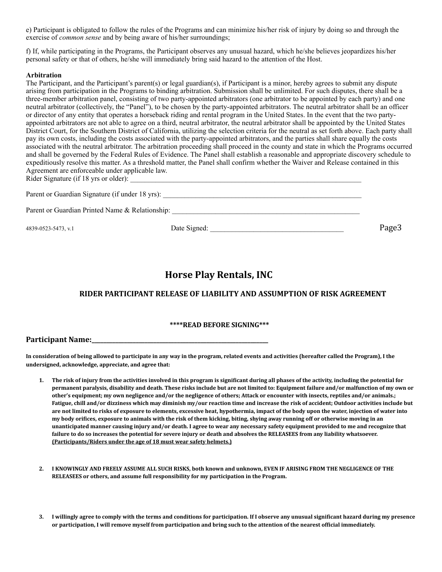e) Participant is obligated to follow the rules of the Programs and can minimize his/her risk of injury by doing so and through the exercise of *common sense* and by being aware of his/her surroundings;

f) If, while participating in the Programs, the Participant observes any unusual hazard, which he/she believes jeopardizes his/her personal safety or that of others, he/she will immediately bring said hazard to the attention of the Host.

#### **Arbitration**

The Participant, and the Participant's parent(s) or legal guardian(s), if Participant is a minor, hereby agrees to submit any dispute arising from participation in the Programs to binding arbitration. Submission shall be unlimited. For such disputes, there shall be a three-member arbitration panel, consisting of two party-appointed arbitrators (one arbitrator to be appointed by each party) and one neutral arbitrator (collectively, the "Panel"), to be chosen by the party-appointed arbitrators. The neutral arbitrator shall be an officer or director of any entity that operates a horseback riding and rental program in the United States. In the event that the two partyappointed arbitrators are not able to agree on a third, neutral arbitrator, the neutral arbitrator shall be appointed by the United States District Court, for the Southern District of California, utilizing the selection criteria for the neutral as set forth above. Each party shall pay its own costs, including the costs associated with the party-appointed arbitrators, and the parties shall share equally the costs associated with the neutral arbitrator. The arbitration proceeding shall proceed in the county and state in which the Programs occurred and shall be governed by the Federal Rules of Evidence. The Panel shall establish a reasonable and appropriate discovery schedule to expeditiously resolve this matter. As a threshold matter, the Panel shall confirm whether the Waiver and Release contained in this Agreement are enforceable under applicable law. Rider Signature (if 18 yrs or older):

| Parent or Guardian Signature (if under 18 yrs): |  |
|-------------------------------------------------|--|

Parent or Guardian Printed Name & Relationship: \_\_\_\_\_\_\_\_\_\_\_\_\_\_\_\_\_\_\_\_\_\_\_\_\_\_\_\_\_\_\_\_

4839-0523-5473, v.1 Date Signed: \_\_\_\_\_\_\_\_\_\_\_\_\_\_\_\_\_\_\_\_\_\_\_\_\_\_\_\_\_\_\_\_\_\_\_\_\_ Page3

### **Horse Play Rentals, INC**

### **RIDER PARTICIPANT RELEASE OF LIABILITY AND ASSUMPTION OF RISK AGREEMENT**

### \*\*\*\*READ BEFORE SIGNING\*\*\*

**Participant Name:\_\_\_\_\_\_\_\_\_\_\_\_\_\_\_\_\_\_\_\_\_\_\_\_\_\_\_\_\_\_\_\_\_\_\_\_\_\_\_\_\_\_\_\_\_\_\_\_\_\_\_\_\_\_\_\_\_\_\_\_** 

In consideration of being allowed to participate in any way in the program, related events and activities (hereafter called the Program), I the undersigned, acknowledge, appreciate, and agree that:

- 1. The risk of injury from the activities involved in this program is significant during all phases of the activity, including the potential for permanent paralysis, disability and death. These risks include but are not limited to: Equipment failure and/or malfunction of my own or other's equipment; my own negligence and/or the negligence of others; Attack or encounter with insects, reptiles and/or animals.; Fatigue, chill and/or dizziness which may diminish my/our reaction time and increase the risk of accident; Outdoor activities include but are not limited to risks of exposure to elements, excessive heat, hypothermia, impact of the body upon the water, injection of water into my body orifices, exposure to animals with the risk of them kicking, biting, shying away running off or otherwise moving in an unanticipated manner causing injury and/or death. I agree to wear any necessary safety equipment provided to me and recognize that failure to do so increases the potential for severe injury or death and absolves the RELEASEES from any liability whatsoever. **(Participants/Riders under the age of 18 must wear safety helmets.)**
- 2. I KNOWINGLY AND FREELY ASSUME ALL SUCH RISKS, both known and unknown, EVEN IF ARISING FROM THE NEGLIGENCE OF THE **RELEASEES** or others, and assume full responsibility for my participation in the Program.
- **3.** I willingly agree to comply with the terms and conditions for participation. If I observe any unusual significant hazard during my presence or participation, I will remove myself from participation and bring such to the attention of the nearest official immediately.